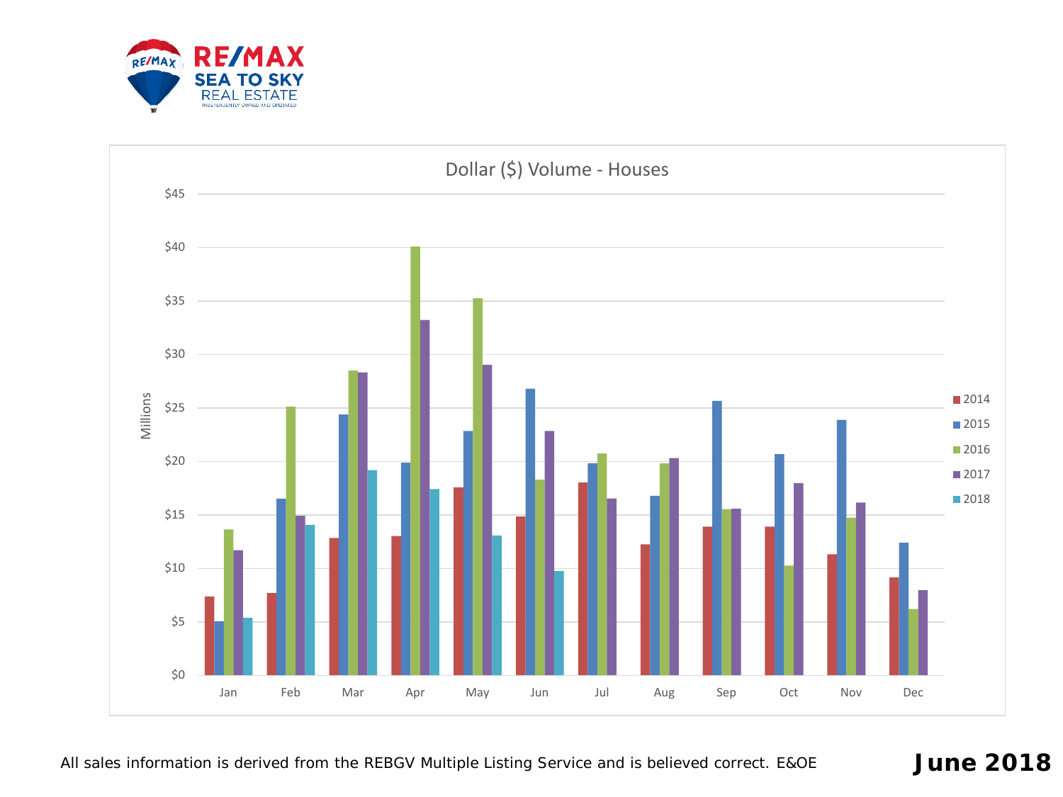

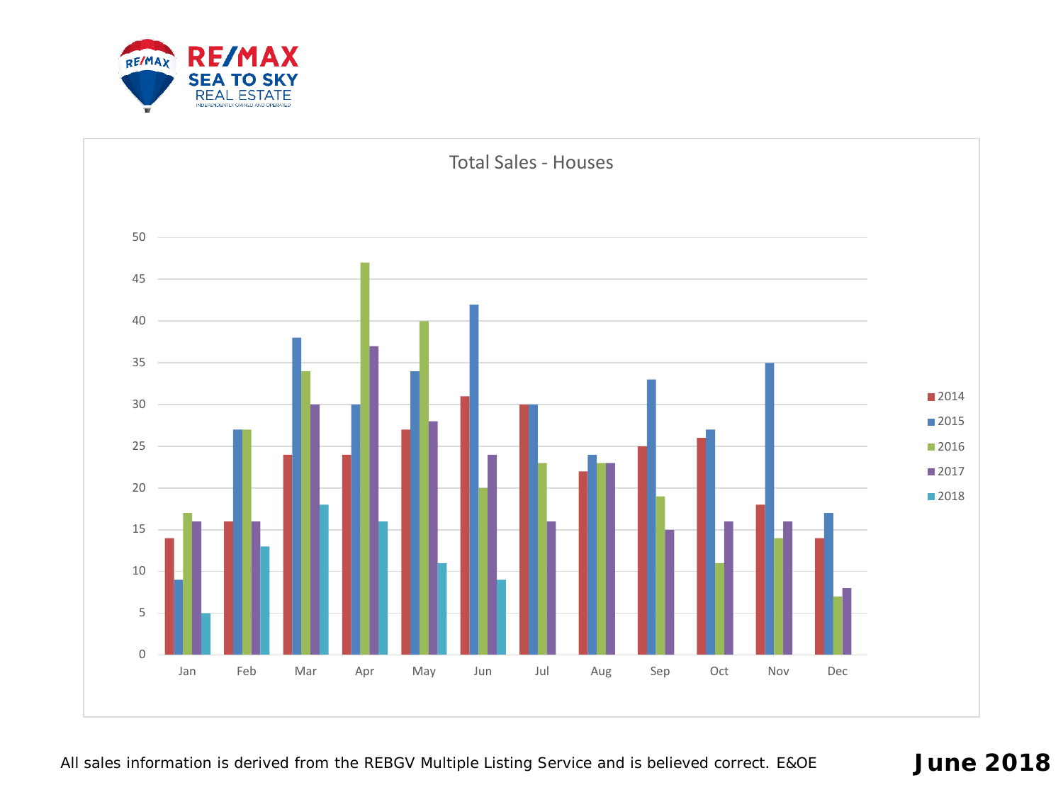

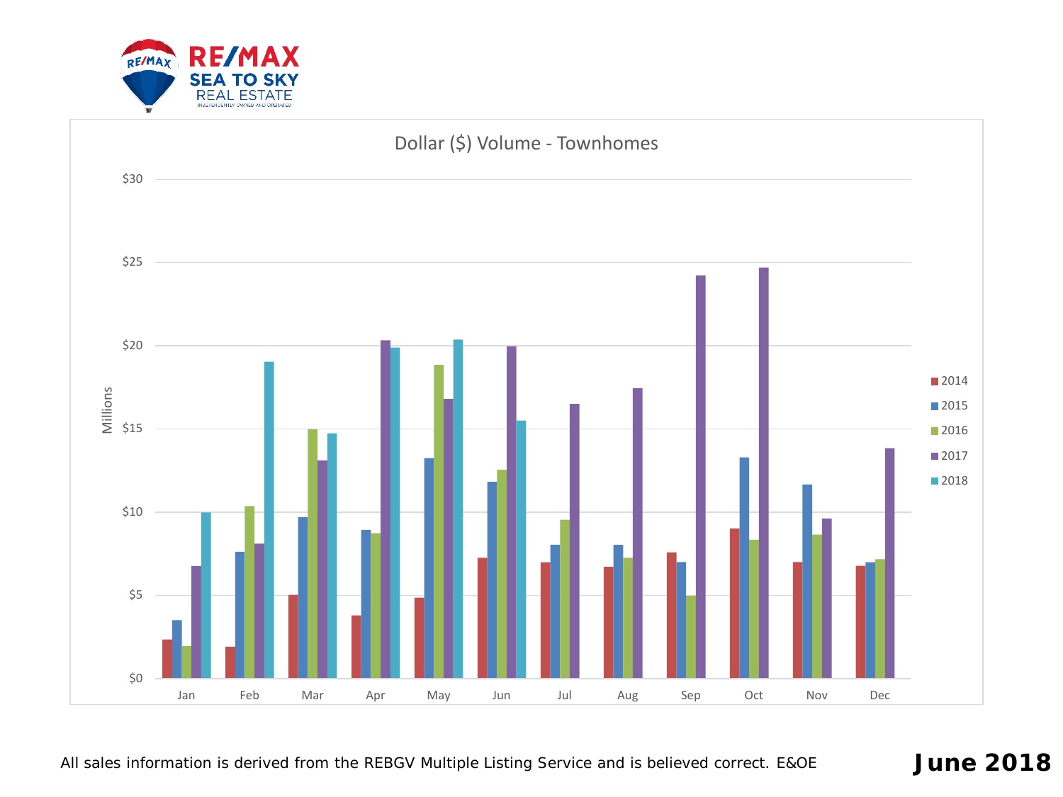

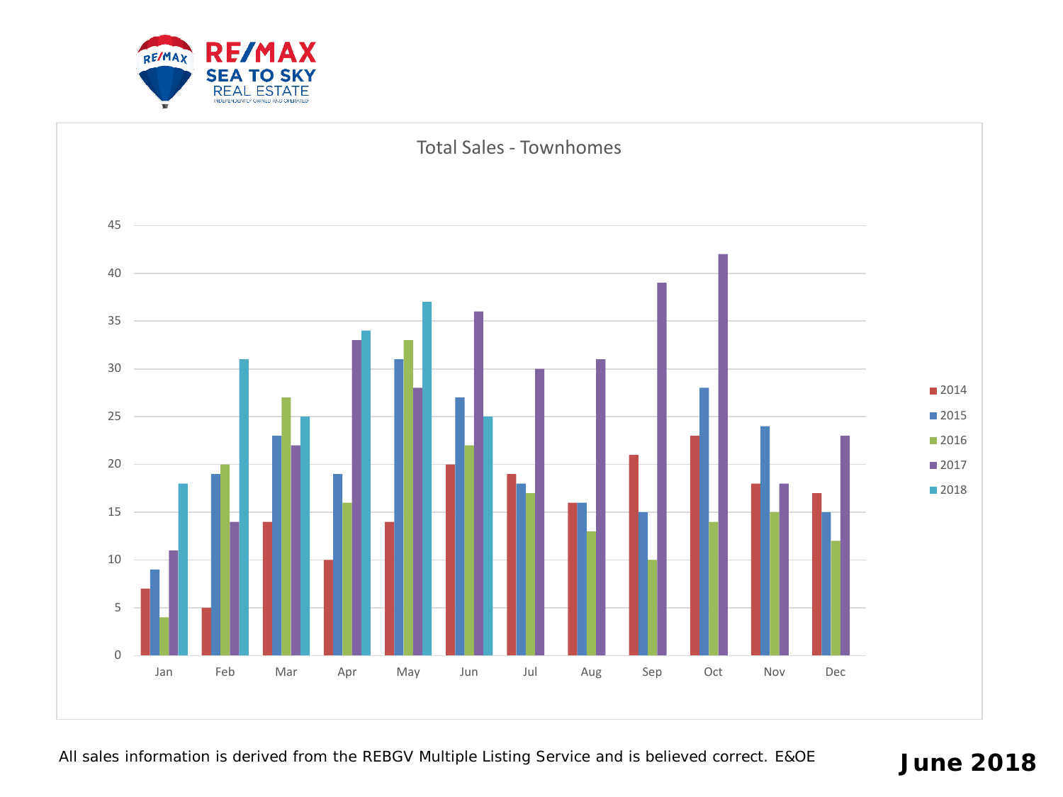

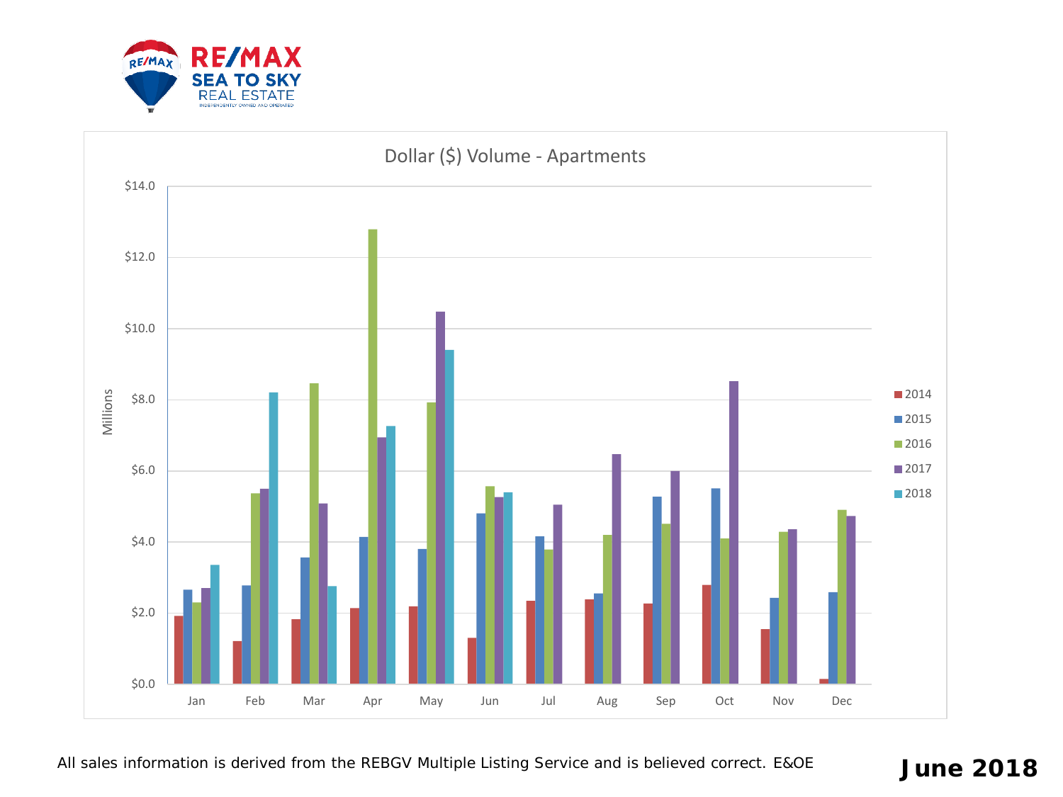



All sales information is derived from the REBGV Multiple Listing Service and is believed correct. E&OE **June 2018**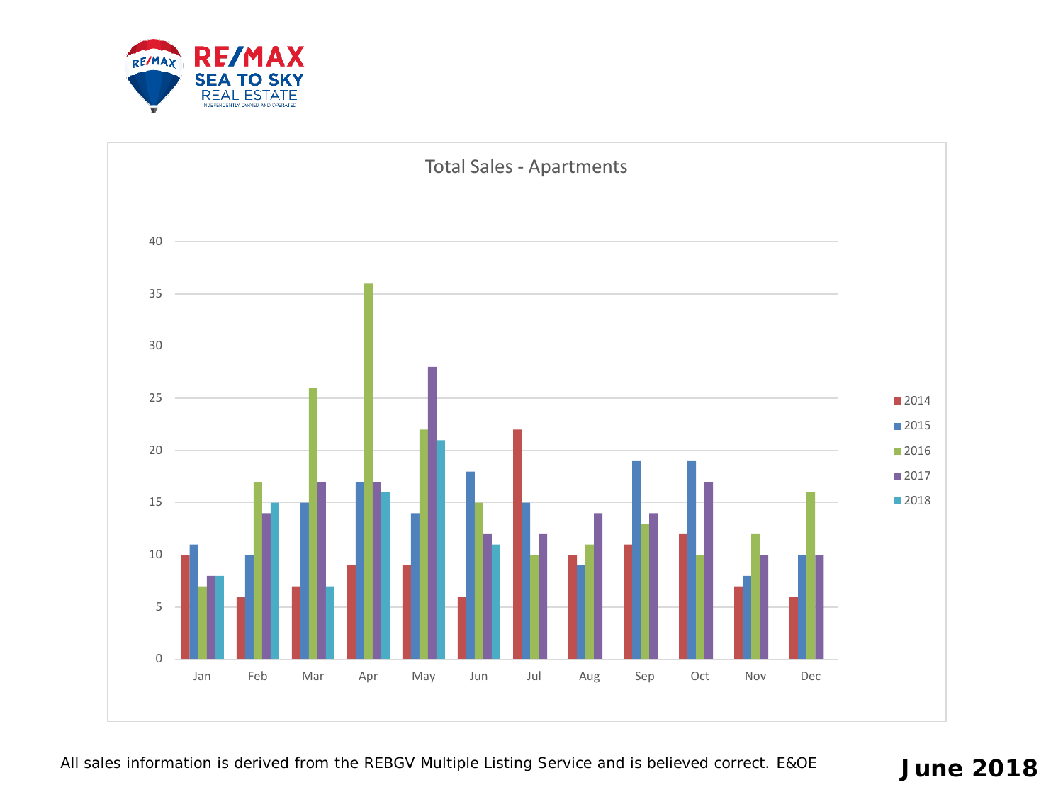

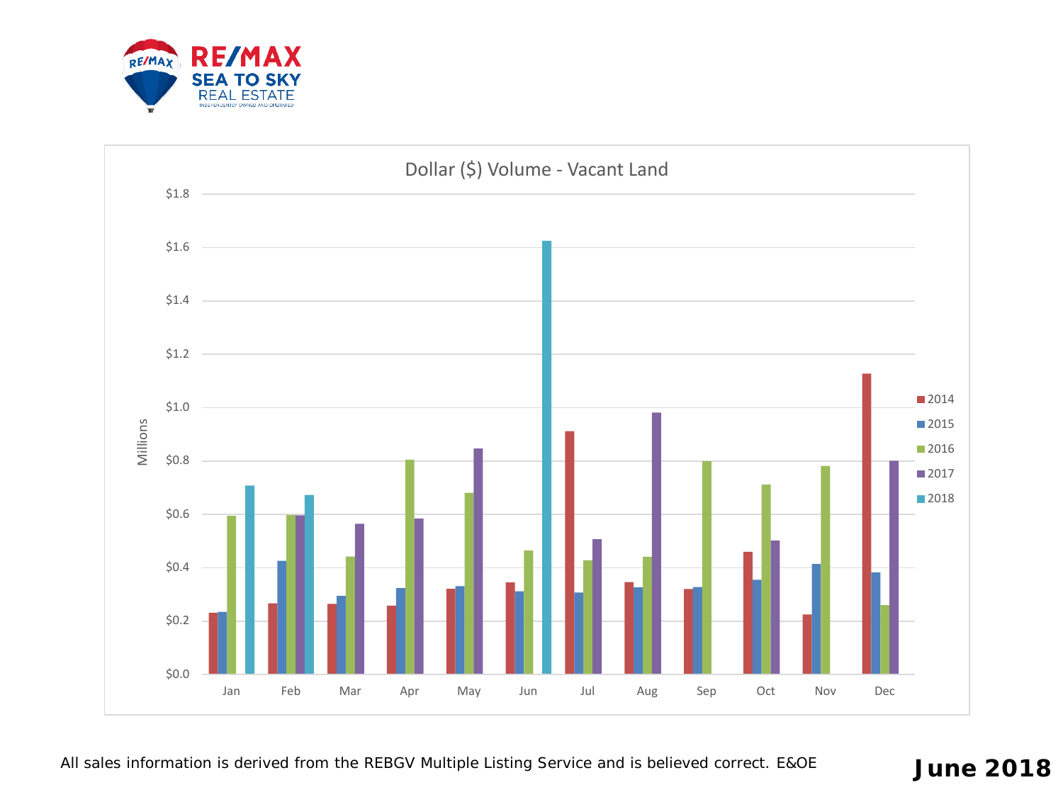

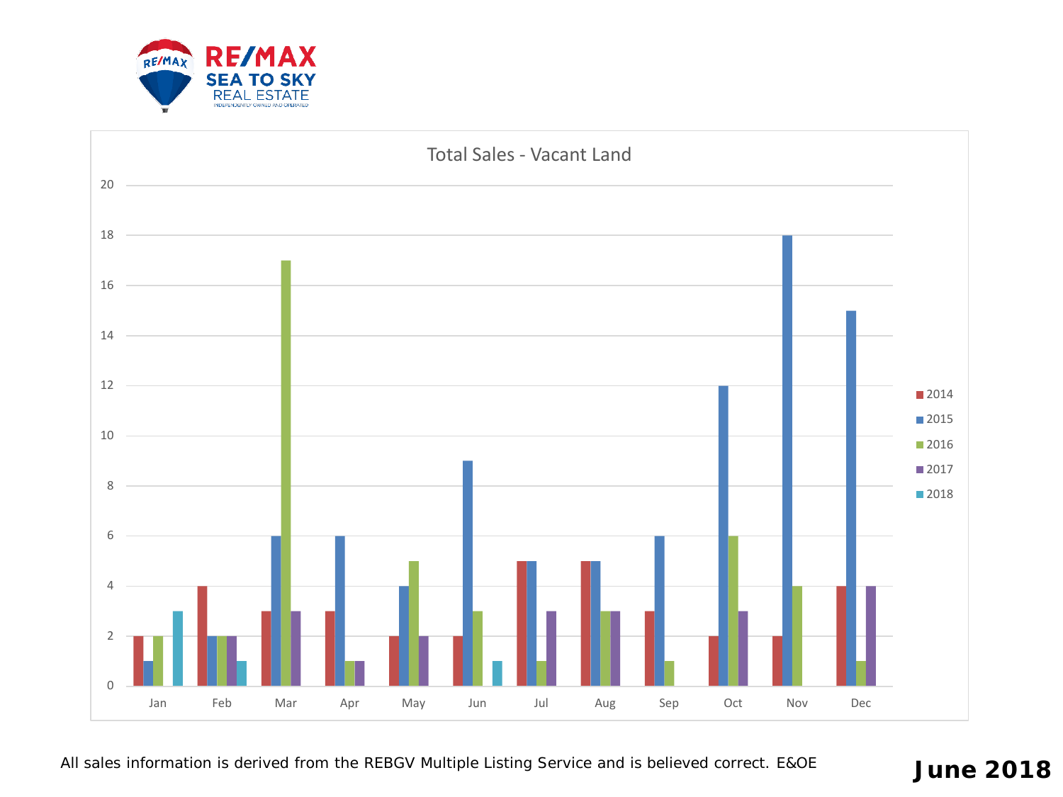



All sales information is derived from the REBGV Multiple Listing Service and is believed correct. E&OE **June 2018**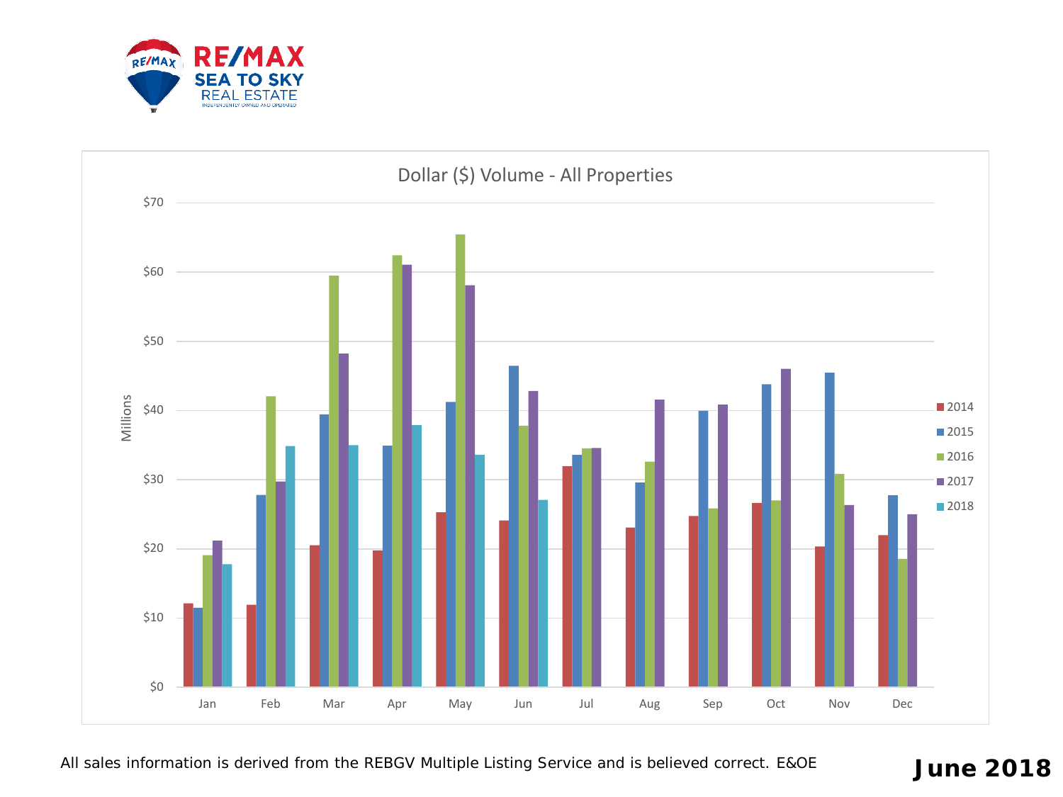



All sales information is derived from the REBGV Multiple Listing Service and is believed correct. E&OE **June 2018**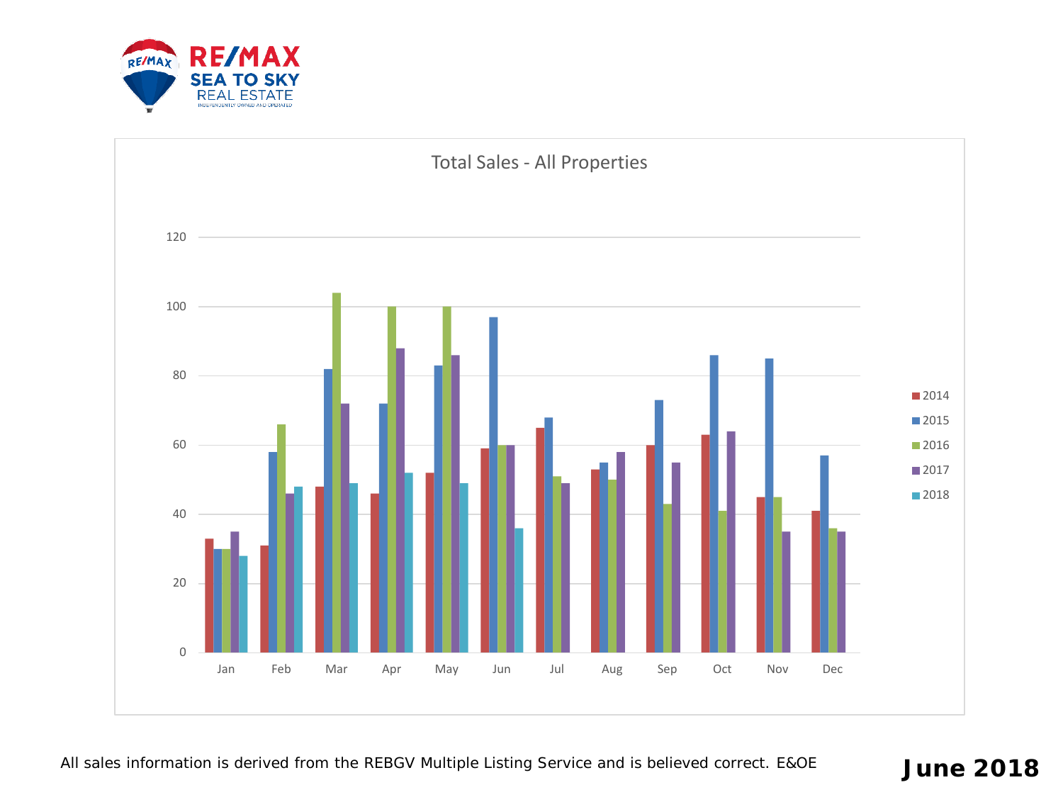

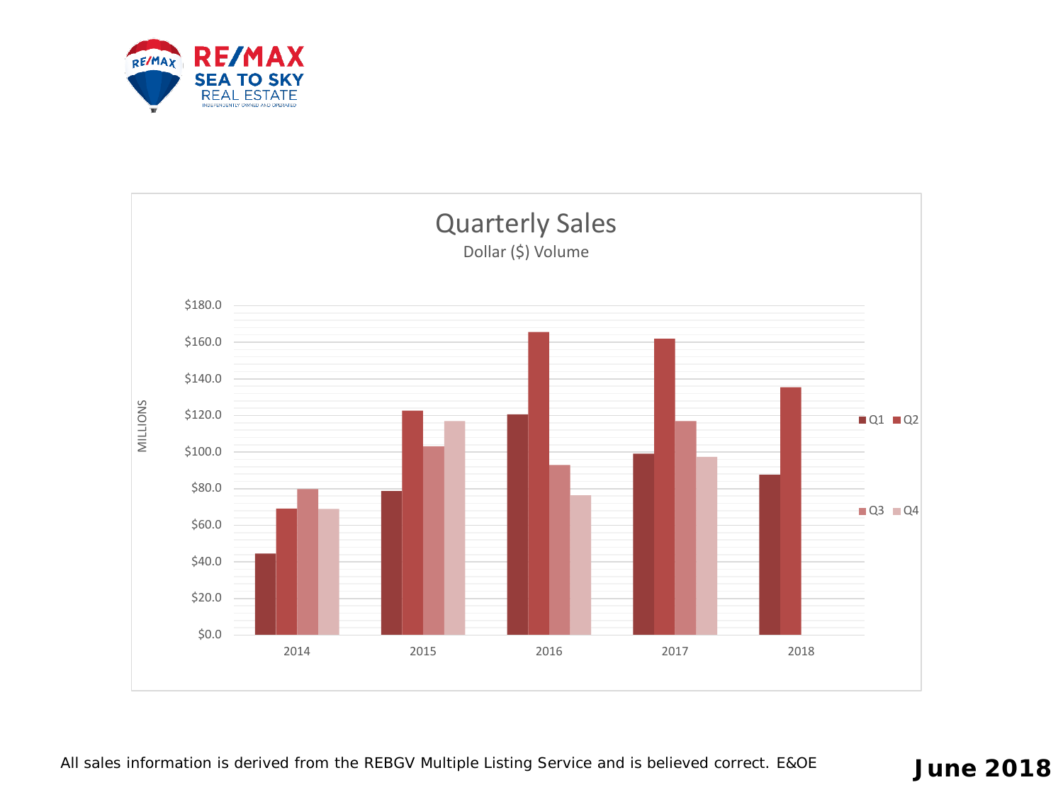